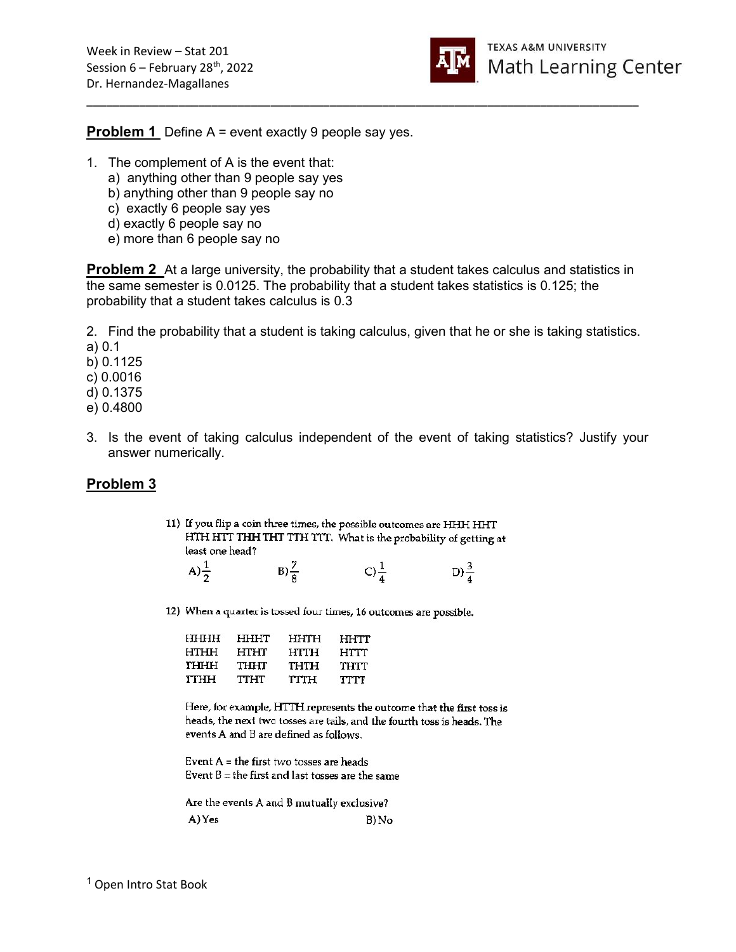

**Problem 1** Define A = event exactly 9 people say yes.

- 1. The complement of A is the event that:
	- a) anything other than 9 people say yes
	- b) anything other than 9 people say no
	- c) exactly 6 people say yes
	- d) exactly 6 people say no
	- e) more than 6 people say no

**Problem 2** At a large university, the probability that a student takes calculus and statistics in the same semester is 0.0125. The probability that a student takes statistics is 0.125; the probability that a student takes calculus is 0.3

\_\_\_\_\_\_\_\_\_\_\_\_\_\_\_\_\_\_\_\_\_\_\_\_\_\_\_\_\_\_\_\_\_\_\_\_\_\_\_\_\_\_\_\_\_\_\_\_\_\_\_\_\_\_\_\_\_\_\_\_\_\_\_\_\_\_\_\_\_\_\_\_\_\_\_\_\_\_\_\_\_\_\_\_

2. Find the probability that a student is taking calculus, given that he or she is taking statistics. a) 0.1

b) 0.1125

c) 0.0016

d) 0.1375

e) 0.4800

3. Is the event of taking calculus independent of the event of taking statistics? Justify your answer numerically.

## Problem 3

11) If you flip a coin three times, the possible outcomes are HHH HHT HTH HTT THH THT TTH TTT. What is the probability of getting at least one head?

| A) $\frac{1}{2}$ | $B) \frac{7}{8}$ | C) $\frac{1}{4}$ | $D)\frac{3}{4}$ |
|------------------|------------------|------------------|-----------------|
|                  |                  |                  |                 |

12) When a quarter is tossed four times, 16 outcomes are possible.

| <b>HHHH</b> | HHHT | HHTH        | ннтт |
|-------------|------|-------------|------|
| HTHH        | HTHT | <b>HTTH</b> | HTTT |
| THIHH       | THHT | THTH        | THTT |
| ттнн        | TTHT | TTH         | TTTT |

Here, for example, HTTH represents the outcome that the first toss is heads, the next two tosses are tails, and the fourth toss is heads. The events A and B are defined as follows.

Event  $A =$  the first two tosses are heads Event  $B =$  the first and last tosses are the same

Are the events A and B mutually exclusive? A) Yes B) No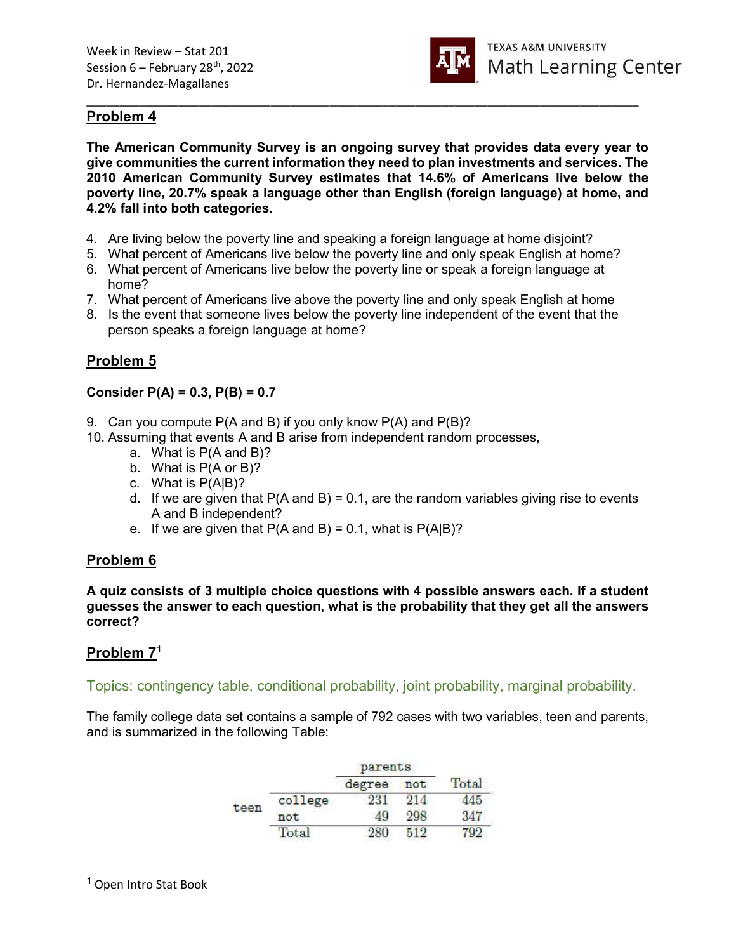

# Problem 4

The American Community Survey is an ongoing survey that provides data every year to give communities the current information they need to plan investments and services. The 2010 American Community Survey estimates that 14.6% of Americans live below the poverty line, 20.7% speak a language other than English (foreign language) at home, and 4.2% fall into both categories.

\_\_\_\_\_\_\_\_\_\_\_\_\_\_\_\_\_\_\_\_\_\_\_\_\_\_\_\_\_\_\_\_\_\_\_\_\_\_\_\_\_\_\_\_\_\_\_\_\_\_\_\_\_\_\_\_\_\_\_\_\_\_\_\_\_\_\_\_\_\_\_\_\_\_\_\_\_\_\_\_\_\_\_\_

- 4. Are living below the poverty line and speaking a foreign language at home disjoint?
- 5. What percent of Americans live below the poverty line and only speak English at home?
- 6. What percent of Americans live below the poverty line or speak a foreign language at home?
- 7. What percent of Americans live above the poverty line and only speak English at home
- 8. Is the event that someone lives below the poverty line independent of the event that the person speaks a foreign language at home?

## Problem 5

#### Consider  $P(A) = 0.3$ ,  $P(B) = 0.7$

- 9. Can you compute P(A and B) if you only know P(A) and P(B)?
- 10. Assuming that events A and B arise from independent random processes,
	- a. What is P(A and B)?
	- b. What is P(A or B)?
	- c. What is P(A|B)?
	- d. If we are given that  $P(A \text{ and } B) = 0.1$ , are the random variables giving rise to events A and B independent?
	- e. If we are given that  $P(A \text{ and } B) = 0.1$ , what is  $P(A|B)$ ?

### Problem 6

A quiz consists of 3 multiple choice questions with 4 possible answers each. If a student guesses the answer to each question, what is the probability that they get all the answers correct?

### Problem 7<sup>1</sup>

Topics: contingency table, conditional probability, joint probability, marginal probability.

The family college data set contains a sample of 792 cases with two variables, teen and parents, and is summarized in the following Table:

|      |                 | parents |     |       |
|------|-----------------|---------|-----|-------|
|      |                 | degree  | not | Total |
| teen | college         | 231     | 914 |       |
|      | not             | 40      | 298 |       |
|      | $_{\rm{Total}}$ |         |     |       |